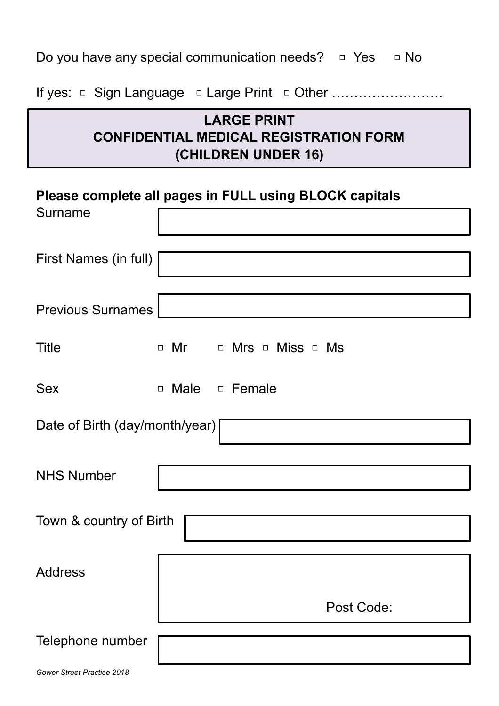|  |  |  | Do you have any special communication needs? $\Box$ Yes $\Box$ No |  |  |  |
|--|--|--|-------------------------------------------------------------------|--|--|--|
|--|--|--|-------------------------------------------------------------------|--|--|--|

If yes: □ Sign Language □ Large Print □ Other ………………………

# **LARGE PRINT CONFIDENTIAL MEDICAL REGISTRATION FORM (CHILDREN UNDER 16)**

### **Please complete all pages in FULL using BLOCK capitals**

| Surname                        |                        |
|--------------------------------|------------------------|
| First Names (in full)          |                        |
| <b>Previous Surnames</b>       |                        |
| <b>Title</b>                   | □ Mr □ Mrs □ Miss □ Ms |
| <b>Sex</b>                     | □ Male □ Female        |
| Date of Birth (day/month/year) |                        |
| <b>NHS Number</b>              |                        |
| Town & country of Birth        |                        |
| <b>Address</b>                 |                        |
|                                | Post Code:             |
| Telephone number               |                        |
| Gower Street Practice 2018     |                        |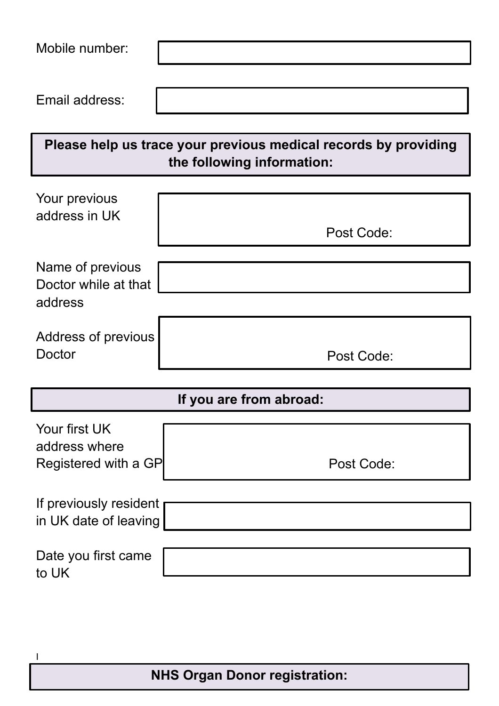| Mobile number:                                         |                                                                                               |  |  |  |
|--------------------------------------------------------|-----------------------------------------------------------------------------------------------|--|--|--|
| Email address:                                         |                                                                                               |  |  |  |
|                                                        | Please help us trace your previous medical records by providing<br>the following information: |  |  |  |
| Your previous<br>address in UK                         | Post Code:                                                                                    |  |  |  |
| Name of previous<br>Doctor while at that<br>address    |                                                                                               |  |  |  |
| Address of previous<br>Doctor                          | Post Code:                                                                                    |  |  |  |
| If you are from abroad:                                |                                                                                               |  |  |  |
| Your first UK<br>address where<br>Registered with a GP | Post Code:                                                                                    |  |  |  |
| If previously resident<br>in UK date of leaving        |                                                                                               |  |  |  |
| Date you first came<br>to UK                           |                                                                                               |  |  |  |

I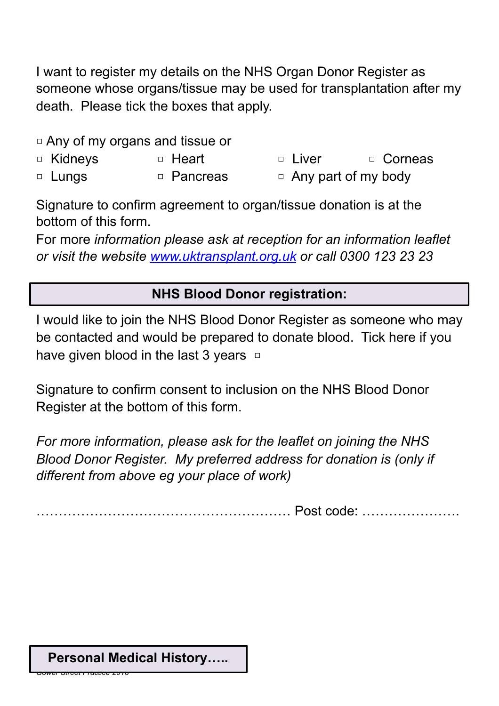I want to register my details on the NHS Organ Donor Register as someone whose organs/tissue may be used for transplantation after my death. Please tick the boxes that apply.

- □ Any of my organs and tissue or
- □ Kidneys □ Heart □ Liver □ Corneas
- □ Lungs □ Pancreas □ Any part of my body

Signature to confirm agreement to organ/tissue donation is at the bottom of this form.

For more *information please ask at reception for an information leaflet or visit the website [www.uktransplant.org.uk](http://www.uktransplant.org.uk) or call 0300 123 23 23* 

# **NHS Blood Donor registration:**

I would like to join the NHS Blood Donor Register as someone who may be contacted and would be prepared to donate blood. Tick here if you have given blood in the last 3 years  $\Box$ 

Signature to confirm consent to inclusion on the NHS Blood Donor Register at the bottom of this form.

*For more information, please ask for the leaflet on joining the NHS Blood Donor Register. My preferred address for donation is (only if different from above eg your place of work)* 

………………………………………………… Post code: ………………….

#### **Personal Medical History…..**

*Gower Street Practice 2018*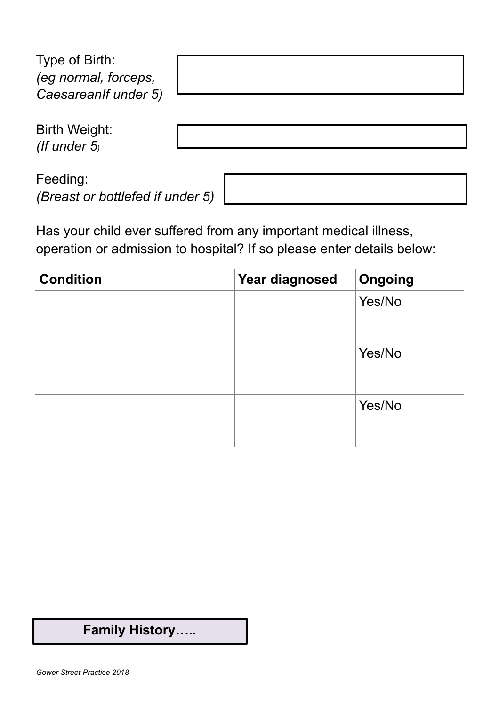| Type of Birth:<br>(eg normal, forceps,<br>Caesareanlf under 5) |  |
|----------------------------------------------------------------|--|
| Birth Weight:<br>(If under $5$ )                               |  |
| Feeding:<br>(Breast or bottlefed if under 5)                   |  |

Has your child ever suffered from any important medical illness, operation or admission to hospital? If so please enter details below:

| <b>Condition</b> | <b>Year diagnosed</b> | <b>Ongoing</b> |
|------------------|-----------------------|----------------|
|                  |                       | Yes/No         |
|                  |                       | Yes/No         |
|                  |                       | Yes/No         |

# **Family History…..**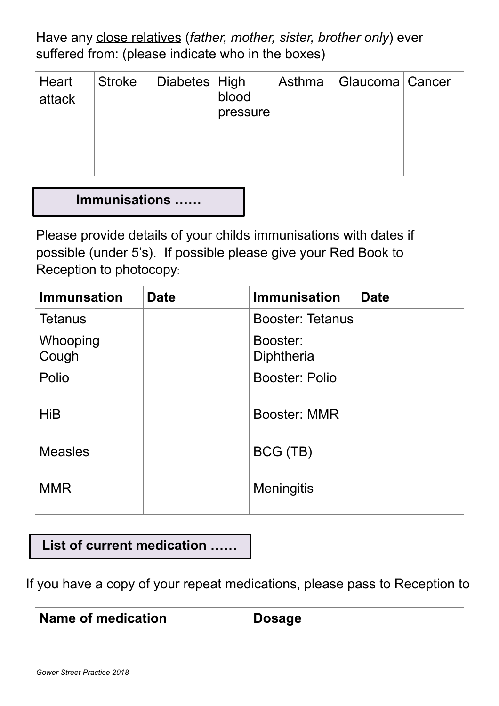Have any close relatives (*father, mother, sister, brother only*) ever suffered from: (please indicate who in the boxes)

| Heart<br>attack | Stroke   Diabetes   High | blood<br>pressure | Asthma   Glaucoma   Cancer |  |
|-----------------|--------------------------|-------------------|----------------------------|--|
|                 |                          |                   |                            |  |

### **Immunisations ……**

Please provide details of your childs immunisations with dates if possible (under 5's). If possible please give your Red Book to Reception to photocopy:

| <b>Immunsation</b> | <b>Date</b> | <b>Immunisation</b>     | <b>Date</b> |
|--------------------|-------------|-------------------------|-------------|
| <b>Tetanus</b>     |             | <b>Booster: Tetanus</b> |             |
| Whooping<br>Cough  |             | Booster:<br>Diphtheria  |             |
| Polio              |             | <b>Booster: Polio</b>   |             |
| <b>HiB</b>         |             | <b>Booster: MMR</b>     |             |
| <b>Measles</b>     |             | BCG (TB)                |             |
| <b>MMR</b>         |             | <b>Meningitis</b>       |             |

**List of current medication ……**

If you have a copy of your repeat medications, please pass to Reception to

| Name of medication | ∣ Dosage |
|--------------------|----------|
|                    |          |
|                    |          |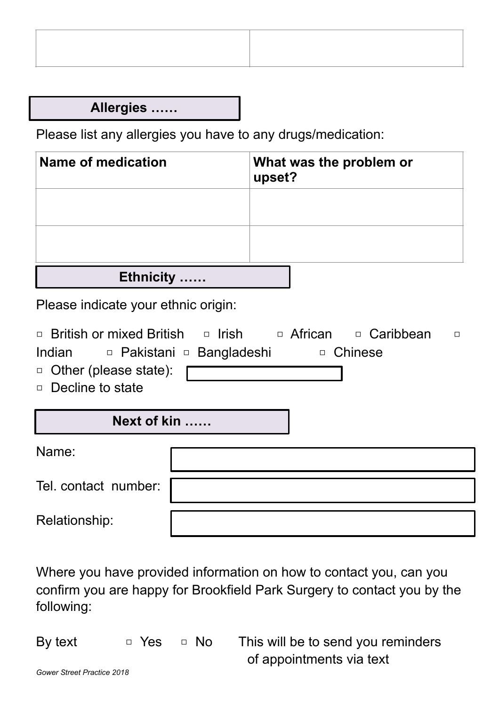**Allergies ……**

Please list any allergies you have to any drugs/medication:

| Name of medication    | What was the problem or<br>upset? |
|-----------------------|-----------------------------------|
|                       |                                   |
|                       |                                   |
| <b>Ethnicity</b><br>. |                                   |

Please indicate your ethnic origin:

| $\Box$ British or mixed British $\Box$ Irish $\Box$ African $\Box$ Caribbean<br>Indian <b>De</b> Pakistani <b>De Bangladeshi</b><br>$\Box$ Other (please state):<br>$\Box$ Decline to state |  | □ Chinese | $\Box$ |
|---------------------------------------------------------------------------------------------------------------------------------------------------------------------------------------------|--|-----------|--------|
| Next of kin                                                                                                                                                                                 |  |           |        |
| Name:                                                                                                                                                                                       |  |           |        |
| Tel. contact number:                                                                                                                                                                        |  |           |        |
| Relationship:                                                                                                                                                                               |  |           |        |

Where you have provided information on how to contact you, can you confirm you are happy for Brookfield Park Surgery to contact you by the following:

By text  $\Box$  Yes  $\Box$  No This will be to send you reminders of appointments via text